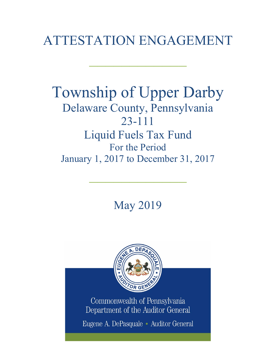# ATTESTATION ENGAGEMENT

 $\frac{1}{2}$ 

## Township of Upper Darby Delaware County, Pennsylvania 23-111 Liquid Fuels Tax Fund For the Period January 1, 2017 to December 31, 2017

May 2019

 $\frac{1}{2}$ 



Commonwealth of Pennsylvania Department of the Auditor General

Eugene A. DePasquale · Auditor General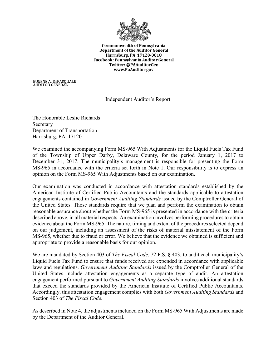

**Commonwealth of Pennsylvania** Department of the Auditor General Harrisburg, PA 17120-0018 Facebook: Pennsylvania Auditor General Twitter: @PAAuditorGen www.PaAuditor.gov

EUGENE A. DEPASQUALE<br>AUDITOR GENERAL

## Independent Auditor's Report

The Honorable Leslie Richards Secretary Department of Transportation Harrisburg, PA 17120

We examined the accompanying Form MS-965 With Adjustments for the Liquid Fuels Tax Fund of the Township of Upper Darby, Delaware County, for the period January 1, 2017 to December 31, 2017. The municipality's management is responsible for presenting the Form MS-965 in accordance with the criteria set forth in Note 1. Our responsibility is to express an opinion on the Form MS-965 With Adjustments based on our examination.

Our examination was conducted in accordance with attestation standards established by the American Institute of Certified Public Accountants and the standards applicable to attestation engagements contained in *Government Auditing Standards* issued by the Comptroller General of the United States. Those standards require that we plan and perform the examination to obtain reasonable assurance about whether the Form MS-965 is presented in accordance with the criteria described above, in all material respects. An examination involves performing procedures to obtain evidence about the Form MS-965. The nature, timing and extent of the procedures selected depend on our judgement, including an assessment of the risks of material misstatement of the Form MS-965, whether due to fraud or error. We believe that the evidence we obtained is sufficient and appropriate to provide a reasonable basis for our opinion.

We are mandated by Section 403 of *The Fiscal Code*, 72 P.S. § 403, to audit each municipality's Liquid Fuels Tax Fund to ensure that funds received are expended in accordance with applicable laws and regulations. *Government Auditing Standards* issued by the Comptroller General of the United States include attestation engagements as a separate type of audit. An attestation engagement performed pursuant to *Government Auditing Standards* involves additional standards that exceed the standards provided by the American Institute of Certified Public Accountants. Accordingly, this attestation engagement complies with both *Government Auditing Standards* and Section 403 of *The Fiscal Code*.

As described in Note 4, the adjustments included on the Form MS-965 With Adjustments are made by the Department of the Auditor General.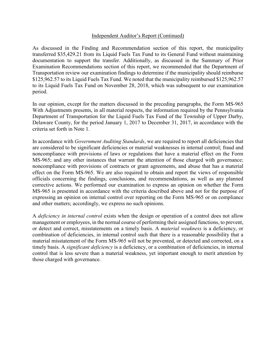#### Independent Auditor's Report (Continued)

As discussed in the Finding and Recommendation section of this report, the municipality transferred \$35,429.21 from its Liquid Fuels Tax Fund to its General Fund without maintaining documentation to support the transfer. Additionally, as discussed in the Summary of Prior Examination Recommendations section of this report, we recommended that the Department of Transportation review our examination findings to determine if the municipality should reimburse \$125,962.57 to its Liquid Fuels Tax Fund. We noted that the municipality reimbursed \$125,962.57 to its Liquid Fuels Tax Fund on November 28, 2018, which was subsequent to our examination period.

In our opinion, except for the matters discussed in the preceding paragraphs, the Form MS-965 With Adjustments presents, in all material respects, the information required by the Pennsylvania Department of Transportation for the Liquid Fuels Tax Fund of the Township of Upper Darby, Delaware County, for the period January 1, 2017 to December 31, 2017, in accordance with the criteria set forth in Note 1.

In accordance with *Government Auditing Standards*, we are required to report all deficiencies that are considered to be significant deficiencies or material weaknesses in internal control; fraud and noncompliance with provisions of laws or regulations that have a material effect on the Form MS-965; and any other instances that warrant the attention of those charged with governance; noncompliance with provisions of contracts or grant agreements, and abuse that has a material effect on the Form MS-965. We are also required to obtain and report the views of responsible officials concerning the findings, conclusions, and recommendations, as well as any planned corrective actions. We performed our examination to express an opinion on whether the Form MS-965 is presented in accordance with the criteria described above and not for the purpose of expressing an opinion on internal control over reporting on the Form MS-965 or on compliance and other matters; accordingly, we express no such opinions.

A *deficiency in internal control* exists when the design or operation of a control does not allow management or employees, in the normal course of performing their assigned functions, to prevent, or detect and correct, misstatements on a timely basis. A *material weakness* is a deficiency, or combination of deficiencies, in internal control such that there is a reasonable possibility that a material misstatement of the Form MS-965 will not be prevented, or detected and corrected, on a timely basis. A *significant deficiency* is a deficiency, or a combination of deficiencies, in internal control that is less severe than a material weakness, yet important enough to merit attention by those charged with governance.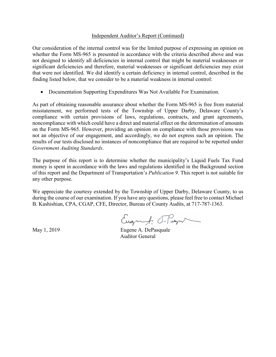#### Independent Auditor's Report (Continued)

Our consideration of the internal control was for the limited purpose of expressing an opinion on whether the Form MS-965 is presented in accordance with the criteria described above and was not designed to identify all deficiencies in internal control that might be material weaknesses or significant deficiencies and therefore, material weaknesses or significant deficiencies may exist that were not identified. We did identify a certain deficiency in internal control, described in the finding listed below, that we consider to be a material weakness in internal control:

• Documentation Supporting Expenditures Was Not Available For Examination.

As part of obtaining reasonable assurance about whether the Form MS-965 is free from material misstatement, we performed tests of the Township of Upper Darby, Delaware County's compliance with certain provisions of laws, regulations, contracts, and grant agreements, noncompliance with which could have a direct and material effect on the determination of amounts on the Form MS-965. However, providing an opinion on compliance with those provisions was not an objective of our engagement, and accordingly, we do not express such an opinion. The results of our tests disclosed no instances of noncompliance that are required to be reported under *Government Auditing Standards*.

The purpose of this report is to determine whether the municipality's Liquid Fuels Tax Fund money is spent in accordance with the laws and regulations identified in the Background section of this report and the Department of Transportation's *Publication 9*. This report is not suitable for any other purpose.

We appreciate the courtesy extended by the Township of Upper Darby, Delaware County, to us during the course of our examination. If you have any questions, please feel free to contact Michael B. Kashishian, CPA, CGAP, CFE, Director, Bureau of County Audits, at 717-787-1363.

Eugenf. Frage

May 1, 2019 **Eugene A. DePasquale** Auditor General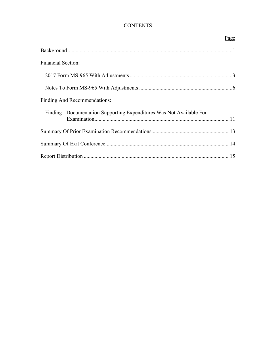## **CONTENTS**

|                                                                       | Page |
|-----------------------------------------------------------------------|------|
|                                                                       |      |
| <b>Financial Section:</b>                                             |      |
|                                                                       |      |
|                                                                       |      |
| Finding And Recommendations:                                          |      |
| Finding - Documentation Supporting Expenditures Was Not Available For |      |
|                                                                       |      |
|                                                                       |      |
|                                                                       |      |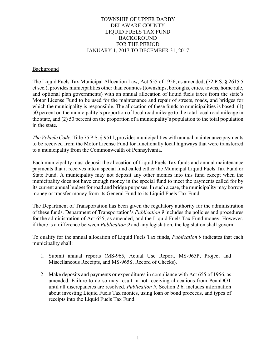## TOWNSHIP OF UPPER DARBY DELAWARE COUNTY LIQUID FUELS TAX FUND **BACKGROUND** FOR THE PERIOD JANUARY 1, 2017 TO DECEMBER 31, 2017

#### **Background**

The Liquid Fuels Tax Municipal Allocation Law, Act 655 of 1956, as amended, (72 P.S. § 2615.5 et sec.), provides municipalities other than counties (townships, boroughs, cities, towns, home rule, and optional plan governments) with an annual allocation of liquid fuels taxes from the state's Motor License Fund to be used for the maintenance and repair of streets, roads, and bridges for which the municipality is responsible. The allocation of these funds to municipalities is based: (1) 50 percent on the municipality's proportion of local road mileage to the total local road mileage in the state, and (2) 50 percent on the proportion of a municipality's population to the total population in the state.

*The Vehicle Code*, Title 75 P.S. § 9511, provides municipalities with annual maintenance payments to be received from the Motor License Fund for functionally local highways that were transferred to a municipality from the Commonwealth of Pennsylvania.

Each municipality must deposit the allocation of Liquid Fuels Tax funds and annual maintenance payments that it receives into a special fund called either the Municipal Liquid Fuels Tax Fund or State Fund. A municipality may not deposit any other monies into this fund except when the municipality does not have enough money in the special fund to meet the payments called for by its current annual budget for road and bridge purposes. In such a case, the municipality may borrow money or transfer money from its General Fund to its Liquid Fuels Tax Fund.

The Department of Transportation has been given the regulatory authority for the administration of these funds. Department of Transportation's *Publication 9* includes the policies and procedures for the administration of Act 655, as amended, and the Liquid Fuels Tax Fund money. However, if there is a difference between *Publication 9* and any legislation, the legislation shall govern.

To qualify for the annual allocation of Liquid Fuels Tax funds, *Publication 9* indicates that each municipality shall:

- 1. Submit annual reports (MS-965, Actual Use Report, MS-965P, Project and Miscellaneous Receipts, and MS-965S, Record of Checks).
- 2. Make deposits and payments or expenditures in compliance with Act 655 of 1956, as amended. Failure to do so may result in not receiving allocations from PennDOT until all discrepancies are resolved. *Publication 9*, Section 2.6, includes information about investing Liquid Fuels Tax monies, using loan or bond proceeds, and types of receipts into the Liquid Fuels Tax Fund.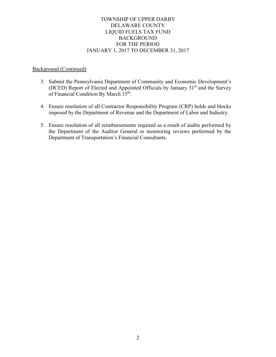## TOWNSHIP OF UPPER DARBY DELAWARE COUNTY LIQUID FUELS TAX FUND BACKGROUND FOR THE PERIOD JANUARY 1, 2017 TO DECEMBER 31, 2017

#### Background (Continued)

- 3. Submit the Pennsylvania Department of Community and Economic Development's (DCED) Report of Elected and Appointed Officials by January 31st and the Survey of Financial Condition By March 15<sup>th</sup>.
- 4. Ensure resolution of all Contractor Responsibility Program (CRP) holds and blocks imposed by the Department of Revenue and the Department of Labor and Industry.
- 5. Ensure resolution of all reimbursements required as a result of audits performed by the Department of the Auditor General or monitoring reviews performed by the Department of Transportation's Financial Consultants.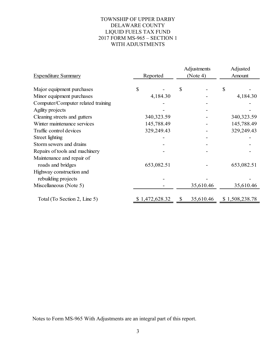## TOWNSHIP OF UPPER DARBY DELAWARE COUNTY LIQUID FUELS TAX FUND 2017 FORM MS-965 – SECTION 1 WITH ADJUSTMENTS

| <b>Expenditure Summary</b>         | Reported |                | Adjustments<br>(Note 4) |           | Adjusted<br>Amount |                |
|------------------------------------|----------|----------------|-------------------------|-----------|--------------------|----------------|
|                                    |          |                |                         |           |                    |                |
| Major equipment purchases          | \$       |                | $\mathcal{S}$           |           | $\mathcal{S}$      |                |
| Minor equipment purchases          |          | 4,184.30       |                         |           |                    | 4,184.30       |
| Computer/Computer related training |          |                |                         |           |                    |                |
| Agility projects                   |          |                |                         |           |                    |                |
| Cleaning streets and gutters       |          | 340, 323.59    |                         |           |                    | 340, 323.59    |
| Winter maintenance services        |          | 145,788.49     |                         |           |                    | 145,788.49     |
| Traffic control devices            |          | 329,249.43     |                         |           |                    | 329,249.43     |
| Street lighting                    |          |                |                         |           |                    |                |
| Storm sewers and drains            |          |                |                         |           |                    |                |
| Repairs of tools and machinery     |          |                |                         |           |                    |                |
| Maintenance and repair of          |          |                |                         |           |                    |                |
| roads and bridges                  |          | 653,082.51     |                         |           |                    | 653,082.51     |
| Highway construction and           |          |                |                         |           |                    |                |
| rebuilding projects                |          |                |                         |           |                    |                |
| Miscellaneous (Note 5)             |          |                |                         | 35,610.46 |                    | 35,610.46      |
| Total (To Section 2, Line 5)       |          | \$1,472,628.32 | S                       | 35,610.46 |                    | \$1,508,238.78 |

Notes to Form MS-965 With Adjustments are an integral part of this report.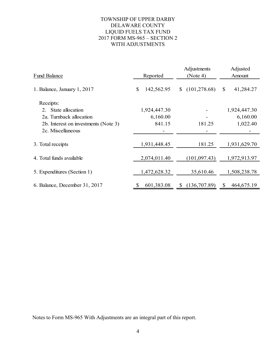## TOWNSHIP OF UPPER DARBY DELAWARE COUNTY LIQUID FUELS TAX FUND 2017 FORM MS-965 – SECTION 2 WITH ADJUSTMENTS

| Fund Balance                         | Reported         | Adjustments<br>(Note 4)       | Adjusted<br>Amount |  |
|--------------------------------------|------------------|-------------------------------|--------------------|--|
| 1. Balance, January 1, 2017          | \$<br>142,562.95 | (101, 278.68)<br>$\mathbb{S}$ | 41,284.27<br>\$    |  |
| Receipts:                            |                  |                               |                    |  |
| 2. State allocation                  | 1,924,447.30     |                               | 1,924,447.30       |  |
| 2a. Turnback allocation              | 6,160.00         |                               | 6,160.00           |  |
| 2b. Interest on investments (Note 3) | 841.15           | 181.25                        | 1,022.40           |  |
| 2c. Miscellaneous                    |                  |                               |                    |  |
| 3. Total receipts                    | 1,931,448.45     | 181.25                        | 1,931,629.70       |  |
| 4. Total funds available             | 2,074,011.40     | (101, 097.43)                 | 1,972,913.97       |  |
| 5. Expenditures (Section 1)          | 1,472,628.32     | 35,610.46                     | 1,508,238.78       |  |
| 6. Balance, December 31, 2017        | 601,383.08<br>\$ | (136,707.89)<br>\$            | 464,675.19<br>\$   |  |

Notes to Form MS-965 With Adjustments are an integral part of this report.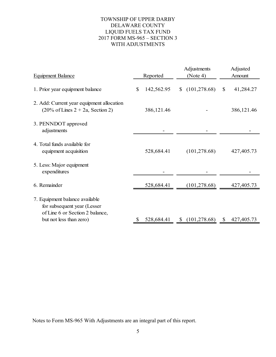## TOWNSHIP OF UPPER DARBY DELAWARE COUNTY LIQUID FUELS TAX FUND 2017 FORM MS-965 – SECTION 3 WITH ADJUSTMENTS

| <b>Equipment Balance</b>                                                                                                    | Reported |            | Adjustments<br>(Note 4) |               | Adjusted<br>Amount |             |
|-----------------------------------------------------------------------------------------------------------------------------|----------|------------|-------------------------|---------------|--------------------|-------------|
| 1. Prior year equipment balance                                                                                             | \$       | 142,562.95 | S.                      | (101, 278.68) | $\mathbb{S}$       | 41,284.27   |
| 2. Add: Current year equipment allocation<br>$(20\% \text{ of Lines } 2 + 2a, \text{Section } 2)$                           |          | 386,121.46 |                         |               |                    | 386, 121.46 |
| 3. PENNDOT approved<br>adjustments                                                                                          |          |            |                         |               |                    |             |
| 4. Total funds available for<br>equipment acquisition                                                                       |          | 528,684.41 |                         | (101, 278.68) |                    | 427,405.73  |
| 5. Less: Major equipment<br>expenditures                                                                                    |          |            |                         |               |                    |             |
| 6. Remainder                                                                                                                |          | 528,684.41 |                         | (101, 278.68) |                    | 427,405.73  |
| 7. Equipment balance available<br>for subsequent year (Lesser<br>of Line 6 or Section 2 balance,<br>but not less than zero) | \$.      | 528,684.41 | <sup>S</sup>            | (101, 278.68) | $\mathbb{S}$       | 427,405.73  |
|                                                                                                                             |          |            |                         |               |                    |             |

Notes to Form MS-965 With Adjustments are an integral part of this report.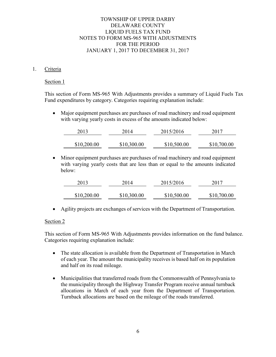## 1. Criteria

#### Section 1

This section of Form MS-965 With Adjustments provides a summary of Liquid Fuels Tax Fund expenditures by category. Categories requiring explanation include:

• Major equipment purchases are purchases of road machinery and road equipment with varying yearly costs in excess of the amounts indicated below:

| 2013        | 2014        | 2015/2016   | 2017        |
|-------------|-------------|-------------|-------------|
| \$10,200.00 | \$10,300.00 | \$10,500.00 | \$10,700.00 |

• Minor equipment purchases are purchases of road machinery and road equipment with varying yearly costs that are less than or equal to the amounts indicated below:

| 2013        | 2014        | 2015/2016   | 2017        |
|-------------|-------------|-------------|-------------|
| \$10,200.00 | \$10,300.00 | \$10,500.00 | \$10,700.00 |

• Agility projects are exchanges of services with the Department of Transportation.

## Section 2

This section of Form MS-965 With Adjustments provides information on the fund balance. Categories requiring explanation include:

- The state allocation is available from the Department of Transportation in March of each year. The amount the municipality receives is based half on its population and half on its road mileage.
- Municipalities that transferred roads from the Commonwealth of Pennsylvania to the municipality through the Highway Transfer Program receive annual turnback allocations in March of each year from the Department of Transportation. Turnback allocations are based on the mileage of the roads transferred.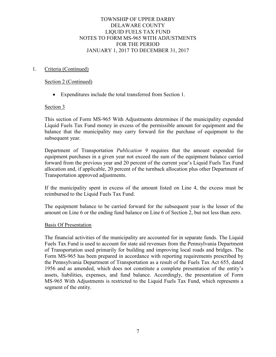#### 1. Criteria (Continued)

#### Section 2 (Continued)

• Expenditures include the total transferred from Section 1.

## Section 3

This section of Form MS-965 With Adjustments determines if the municipality expended Liquid Fuels Tax Fund money in excess of the permissible amount for equipment and the balance that the municipality may carry forward for the purchase of equipment to the subsequent year.

Department of Transportation *Publication 9* requires that the amount expended for equipment purchases in a given year not exceed the sum of the equipment balance carried forward from the previous year and 20 percent of the current year's Liquid Fuels Tax Fund allocation and, if applicable, 20 percent of the turnback allocation plus other Department of Transportation approved adjustments.

If the municipality spent in excess of the amount listed on Line 4, the excess must be reimbursed to the Liquid Fuels Tax Fund.

The equipment balance to be carried forward for the subsequent year is the lesser of the amount on Line 6 or the ending fund balance on Line 6 of Section 2, but not less than zero.

#### Basis Of Presentation

The financial activities of the municipality are accounted for in separate funds. The Liquid Fuels Tax Fund is used to account for state aid revenues from the Pennsylvania Department of Transportation used primarily for building and improving local roads and bridges. The Form MS-965 has been prepared in accordance with reporting requirements prescribed by the Pennsylvania Department of Transportation as a result of the Fuels Tax Act 655, dated 1956 and as amended, which does not constitute a complete presentation of the entity's assets, liabilities, expenses, and fund balance. Accordingly, the presentation of Form MS-965 With Adjustments is restricted to the Liquid Fuels Tax Fund, which represents a segment of the entity.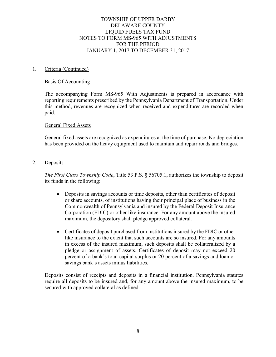#### 1. Criteria (Continued)

#### Basis Of Accounting

The accompanying Form MS-965 With Adjustments is prepared in accordance with reporting requirements prescribed by the Pennsylvania Department of Transportation. Under this method, revenues are recognized when received and expenditures are recorded when paid.

#### General Fixed Assets

General fixed assets are recognized as expenditures at the time of purchase. No depreciation has been provided on the heavy equipment used to maintain and repair roads and bridges.

2. Deposits

*The First Class Township Code*, Title 53 P.S. § 56705.1, authorizes the township to deposit its funds in the following:

- Deposits in savings accounts or time deposits, other than certificates of deposit or share accounts, of institutions having their principal place of business in the Commonwealth of Pennsylvania and insured by the Federal Deposit Insurance Corporation (FDIC) or other like insurance. For any amount above the insured maximum, the depository shall pledge approved collateral.
- Certificates of deposit purchased from institutions insured by the FDIC or other like insurance to the extent that such accounts are so insured. For any amounts in excess of the insured maximum, such deposits shall be collateralized by a pledge or assignment of assets. Certificates of deposit may not exceed 20 percent of a bank's total capital surplus or 20 percent of a savings and loan or savings bank's assets minus liabilities.

Deposits consist of receipts and deposits in a financial institution. Pennsylvania statutes require all deposits to be insured and, for any amount above the insured maximum, to be secured with approved collateral as defined.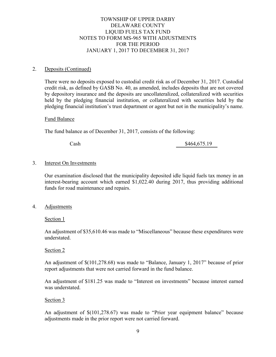#### 2. Deposits (Continued)

There were no deposits exposed to custodial credit risk as of December 31, 2017. Custodial credit risk, as defined by GASB No. 40, as amended, includes deposits that are not covered by depository insurance and the deposits are uncollateralized, collateralized with securities held by the pledging financial institution, or collateralized with securities held by the pledging financial institution's trust department or agent but not in the municipality's name.

#### Fund Balance

The fund balance as of December 31, 2017, consists of the following:

Cash \$464,675.19

#### 3. Interest On Investments

Our examination disclosed that the municipality deposited idle liquid fuels tax money in an interest-bearing account which earned \$1,022.40 during 2017, thus providing additional funds for road maintenance and repairs.

4. Adjustments

Section 1

An adjustment of \$35,610.46 was made to "Miscellaneous" because these expenditures were understated.

#### Section 2

An adjustment of \$(101,278.68) was made to "Balance, January 1, 2017" because of prior report adjustments that were not carried forward in the fund balance.

An adjustment of \$181.25 was made to "Interest on investments" because interest earned was understated.

#### Section 3

An adjustment of \$(101,278.67) was made to "Prior year equipment balance" because adjustments made in the prior report were not carried forward.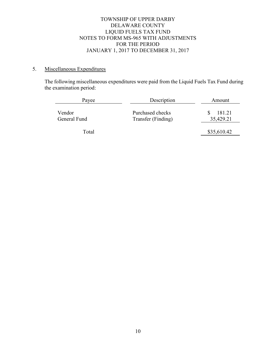## 5. Miscellaneous Expenditures

The following miscellaneous expenditures were paid from the Liquid Fuels Tax Fund during the examination period:

| Payee                  | Description                            | Amount              |
|------------------------|----------------------------------------|---------------------|
| Vendor<br>General Fund | Purchased checks<br>Transfer (Finding) | 181.21<br>35,429.21 |
| Total                  |                                        | \$35,610.42         |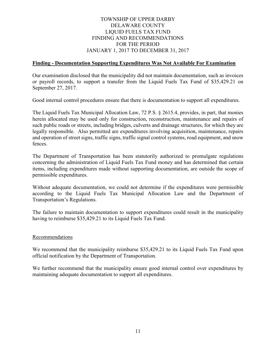## TOWNSHIP OF UPPER DARBY DELAWARE COUNTY LIQUID FUELS TAX FUND FINDING AND RECOMMENDATIONS FOR THE PERIOD JANUARY 1, 2017 TO DECEMBER 31, 2017

#### **Finding - Documentation Supporting Expenditures Was Not Available For Examination**

Our examination disclosed that the municipality did not maintain documentation, such as invoices or payroll records, to support a transfer from the Liquid Fuels Tax Fund of \$35,429.21 on September 27, 2017.

Good internal control procedures ensure that there is documentation to support all expenditures.

The Liquid Fuels Tax Municipal Allocation Law, 72 P.S. § 2615.4, provides, in part, that monies herein allocated may be used only for construction, reconstruction, maintenance and repairs of such public roads or streets, including bridges, culverts and drainage structures, for which they are legally responsible. Also permitted are expenditures involving acquisition, maintenance, repairs and operation of street signs, traffic signs, traffic signal control systems, road equipment, and snow fences.

The Department of Transportation has been statutorily authorized to promulgate regulations concerning the administration of Liquid Fuels Tax Fund money and has determined that certain items, including expenditures made without supporting documentation, are outside the scope of permissible expenditures.

Without adequate documentation, we could not determine if the expenditures were permissible according to the Liquid Fuels Tax Municipal Allocation Law and the Department of Transportation's Regulations.

The failure to maintain documentation to support expenditures could result in the municipality having to reimburse \$35,429.21 to its Liquid Fuels Tax Fund.

#### Recommendations

We recommend that the municipality reimburse \$35,429.21 to its Liquid Fuels Tax Fund upon official notification by the Department of Transportation.

We further recommend that the municipality ensure good internal control over expenditures by maintaining adequate documentation to support all expenditures.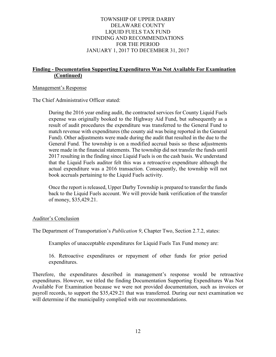## TOWNSHIP OF UPPER DARBY DELAWARE COUNTY LIQUID FUELS TAX FUND FINDING AND RECOMMENDATIONS FOR THE PERIOD JANUARY 1, 2017 TO DECEMBER 31, 2017

## **Finding - Documentation Supporting Expenditures Was Not Available For Examination (Continued)**

#### Management's Response

The Chief Administrative Officer stated:

During the 2016 year ending audit, the contracted services for County Liquid Fuels expense was originally booked to the Highway Aid Fund, but subsequently as a result of audit procedures the expenditure was transferred to the General Fund to match revenue with expenditures (the county aid was being reported in the General Fund). Other adjustments were made during the audit that resulted in the due to the General Fund. The township is on a modified accrual basis so these adjustments were made in the financial statements. The township did not transfer the funds until 2017 resulting in the finding since Liquid Fuels is on the cash basis. We understand that the Liquid Fuels auditor felt this was a retroactive expenditure although the actual expenditure was a 2016 transaction. Consequently, the township will not book accruals pertaining to the Liquid Fuels activity.

Once the report is released, Upper Darby Township is prepared to transfer the funds back to the Liquid Fuels account. We will provide bank verification of the transfer of money, \$35,429.21.

#### Auditor's Conclusion

The Department of Transportation's *Publication 9*, Chapter Two, Section 2.7.2, states:

Examples of unacceptable expenditures for Liquid Fuels Tax Fund money are:

16. Retroactive expenditures or repayment of other funds for prior period expenditures.

Therefore, the expenditures described in management's response would be retroactive expenditures. However, we titled the finding Documentation Supporting Expenditures Was Not Available For Examination because we were not provided documentation, such as invoices or payroll records, to support the \$35,429.21 that was transferred. During our next examination we will determine if the municipality complied with our recommendations.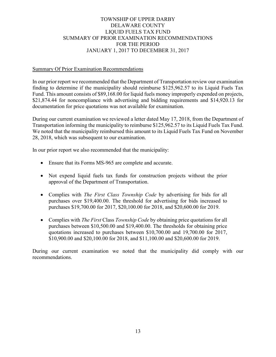## TOWNSHIP OF UPPER DARBY DELAWARE COUNTY LIQUID FUELS TAX FUND SUMMARY OF PRIOR EXAMINATION RECOMMENDATIONS FOR THE PERIOD JANUARY 1, 2017 TO DECEMBER 31, 2017

#### Summary Of Prior Examination Recommendations

In our prior report we recommended that the Department of Transportation review our examination finding to determine if the municipality should reimburse \$125,962.57 to its Liquid Fuels Tax Fund. This amount consists of \$89,168.00 for liquid fuels money improperly expended on projects, \$21,874.44 for noncompliance with advertising and bidding requirements and \$14,920.13 for documentation for price quotations was not available for examination.

During our current examination we reviewed a letter dated May 17, 2018, from the Department of Transportation informing the municipality to reimburse \$125,962.57 to its Liquid Fuels Tax Fund. We noted that the municipality reimbursed this amount to its Liquid Fuels Tax Fund on November 28, 2018, which was subsequent to our examination.

In our prior report we also recommended that the municipality:

- Ensure that its Forms MS-965 are complete and accurate.
- Not expend liquid fuels tax funds for construction projects without the prior approval of the Department of Transportation.
- Complies with *The First Class Township Code* by advertising for bids for all purchases over \$19,400.00. The threshold for advertising for bids increased to purchases \$19,700.00 for 2017, \$20,100.00 for 2018, and \$20,600.00 for 2019.
- Complies with *The First* Class *Township Code* by obtaining price quotations for all purchases between \$10,500.00 and \$19,400.00. The thresholds for obtaining price quotations increased to purchases between \$10,700.00 and 19,700.00 for 2017, \$10,900.00 and \$20,100.00 for 2018, and \$11,100.00 and \$20,600.00 for 2019.

During our current examination we noted that the municipality did comply with our recommendations.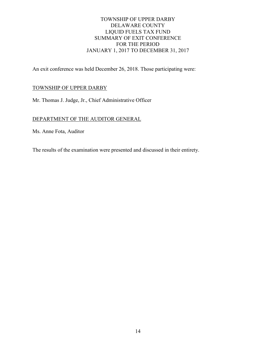## TOWNSHIP OF UPPER DARBY DELAWARE COUNTY LIQUID FUELS TAX FUND SUMMARY OF EXIT CONFERENCE FOR THE PERIOD JANUARY 1, 2017 TO DECEMBER 31, 2017

An exit conference was held December 26, 2018. Those participating were:

## TOWNSHIP OF UPPER DARBY

Mr. Thomas J. Judge, Jr., Chief Administrative Officer

## DEPARTMENT OF THE AUDITOR GENERAL

Ms. Anne Fota, Auditor

The results of the examination were presented and discussed in their entirety.